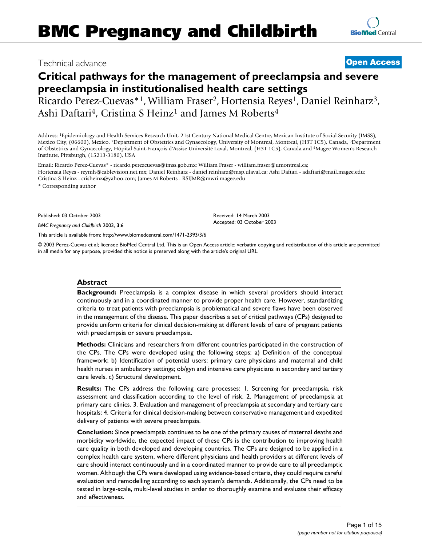# Technical advance **[Open Access](http://www.biomedcentral.com/info/about/charter/)**

# **Critical pathways for the management of preeclampsia and severe preeclampsia in institutionalised health care settings** Ricardo Perez-Cuevas\*1, William Fraser2, Hortensia Reyes1, Daniel Reinharz3, Ashi Daftari<sup>4</sup>, Cristina S Heinz<sup>1</sup> and James M Roberts<sup>4</sup>

Address: 1Epidemiology and Health Services Research Unit, 21st Century National Medical Centre, Mexican Institute of Social Security (IMSS), Mexico City, (06600), Mexico, 2Department of Obstetrics and Gynaecology, University of Montreal, Montreal, (H3T 1C5), Canada, 3Department of Obstetrics and Gynaecology, Hôpital Saint-François d'Assise Université Laval, Montreal, (H3T 1C5), Canada and 4Magee Women's Research Institute, Pittsburgh, (15213-3180), USA

Email: Ricardo Perez-Cuevas\* - ricardo.perezcuevas@imss.gob.mx; William Fraser - william.fraser@umontreal.ca; Hortensia Reyes - reymh@cablevision.net.mx; Daniel Reinharz - daniel.reinharz@msp.ulaval.ca; Ashi Daftari - adaftari@mail.magee.edu; Cristina S Heinz - crisheinz@yahoo.com; James M Roberts - RSIJMR@mwri.magee.edu

\* Corresponding author

Published: 03 October 2003

*BMC Pregnancy and Childbirth* 2003, **3**:6

[This article is available from: http://www.biomedcentral.com/1471-2393/3/6](http://www.biomedcentral.com/1471-2393/3/6)

© 2003 Perez-Cuevas et al; licensee BioMed Central Ltd. This is an Open Access article: verbatim copying and redistribution of this article are permitted in all media for any purpose, provided this notice is preserved along with the article's original URL.

Received: 14 March 2003 Accepted: 03 October 2003

## **Abstract**

**Background:** Preeclampsia is a complex disease in which several providers should interact continuously and in a coordinated manner to provide proper health care. However, standardizing criteria to treat patients with preeclampsia is problematical and severe flaws have been observed in the management of the disease. This paper describes a set of critical pathways (CPs) designed to provide uniform criteria for clinical decision-making at different levels of care of pregnant patients with preeclampsia or severe preeclampsia.

**Methods:** Clinicians and researchers from different countries participated in the construction of the CPs. The CPs were developed using the following steps: a) Definition of the conceptual framework; b) Identification of potential users: primary care physicians and maternal and child health nurses in ambulatory settings; ob/gyn and intensive care physicians in secondary and tertiary care levels. c) Structural development.

**Results:** The CPs address the following care processes: 1. Screening for preeclampsia, risk assessment and classification according to the level of risk. 2. Management of preeclampsia at primary care clinics. 3. Evaluation and management of preeclampsia at secondary and tertiary care hospitals: 4. Criteria for clinical decision-making between conservative management and expedited delivery of patients with severe preeclampsia.

**Conclusion:** Since preeclampsia continues to be one of the primary causes of maternal deaths and morbidity worldwide, the expected impact of these CPs is the contribution to improving health care quality in both developed and developing countries. The CPs are designed to be applied in a complex health care system, where different physicians and health providers at different levels of care should interact continuously and in a coordinated manner to provide care to all preeclamptic women. Although the CPs were developed using evidence-based criteria, they could require careful evaluation and remodelling according to each system's demands. Additionally, the CPs need to be tested in large-scale, multi-level studies in order to thoroughly examine and evaluate their efficacy and effectiveness.

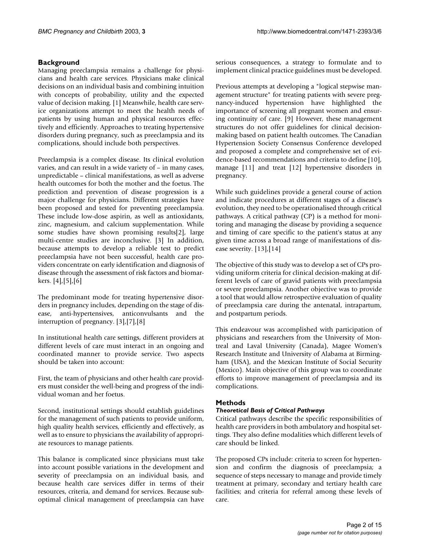# **Background**

Managing preeclampsia remains a challenge for physicians and health care services. Physicians make clinical decisions on an individual basis and combining intuition with concepts of probability, utility and the expected value of decision making. [1] Meanwhile, health care service organizations attempt to meet the health needs of patients by using human and physical resources effectively and efficiently. Approaches to treating hypertensive disorders during pregnancy, such as preeclampsia and its complications, should include both perspectives.

Preeclampsia is a complex disease. Its clinical evolution varies, and can result in a wide variety of – in many cases, unpredictable – clinical manifestations, as well as adverse health outcomes for both the mother and the foetus. The prediction and prevention of disease progression is a major challenge for physicians. Different strategies have been proposed and tested for preventing preeclampsia. These include low-dose aspirin, as well as antioxidants, zinc, magnesium, and calcium supplementation. While some studies have shown promising results[2], large multi-centre studies are inconclusive. [3] In addition, because attempts to develop a reliable test to predict preeclampsia have not been successful, health care providers concentrate on early identification and diagnosis of disease through the assessment of risk factors and biomarkers.  $[4]$ ,  $[5]$ ,  $[6]$ 

The predominant mode for treating hypertensive disorders in pregnancy includes, depending on the stage of disease, anti-hypertensives, anticonvulsants and the interruption of pregnancy. [3],[7],[8]

In institutional health care settings, different providers at different levels of care must interact in an ongoing and coordinated manner to provide service. Two aspects should be taken into account:

First, the team of physicians and other health care providers must consider the well-being and progress of the individual woman and her foetus.

Second, institutional settings should establish guidelines for the management of such patients to provide uniform, high quality health services, efficiently and effectively, as well as to ensure to physicians the availability of appropriate resources to manage patients.

This balance is complicated since physicians must take into account possible variations in the development and severity of preeclampsia on an individual basis, and because health care services differ in terms of their resources, criteria, and demand for services. Because suboptimal clinical management of preeclampsia can have serious consequences, a strategy to formulate and to implement clinical practice guidelines must be developed.

Previous attempts at developing a "logical stepwise management structure" for treating patients with severe pregnancy-induced hypertension have highlighted the importance of screening all pregnant women and ensuring continuity of care. [9] However, these management structures do not offer guidelines for clinical decisionmaking based on patient health outcomes. The Canadian Hypertension Society Consensus Conference developed and proposed a complete and comprehensive set of evidence-based recommendations and criteria to define [10], manage [11] and treat [12] hypertensive disorders in pregnancy.

While such guidelines provide a general course of action and indicate procedures at different stages of a disease's evolution, they need to be operationalised through critical pathways. A critical pathway (CP) is a method for monitoring and managing the disease by providing a sequence and timing of care specific to the patient's status at any given time across a broad range of manifestations of disease severity. [13], [14]

The objective of this study was to develop a set of CPs providing uniform criteria for clinical decision-making at different levels of care of gravid patients with preeclampsia or severe preeclampsia. Another objective was to provide a tool that would allow retrospective evaluation of quality of preeclampsia care during the antenatal, intrapartum, and postpartum periods.

This endeavour was accomplished with participation of physicians and researchers from the University of Montreal and Laval University (Canada), Magee Women's Research Institute and University of Alabama at Birmingham (USA), and the Mexican Institute of Social Security (Mexico). Main objective of this group was to coordinate efforts to improve management of preeclampsia and its complications.

## **Methods**

## *Theoretical Basis of Critical Pathways*

Critical pathways describe the specific responsibilities of health care providers in both ambulatory and hospital settings. They also define modalities which different levels of care should be linked.

The proposed CPs include: criteria to screen for hypertension and confirm the diagnosis of preeclampsia; a sequence of steps necessary to manage and provide timely treatment at primary, secondary and tertiary health care facilities; and criteria for referral among these levels of care.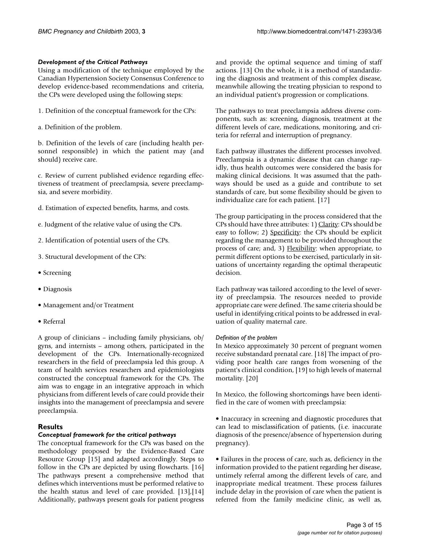## *Development of the Critical Pathways*

Using a modification of the technique employed by the Canadian Hypertension Society Consensus Conference to develop evidence-based recommendations and criteria, the CPs were developed using the following steps:

- 1. Definition of the conceptual framework for the CPs:
- a. Definition of the problem.

b. Definition of the levels of care (including health personnel responsible) in which the patient may (and should) receive care.

c. Review of current published evidence regarding effectiveness of treatment of preeclampsia, severe preeclampsia, and severe morbidity.

d. Estimation of expected benefits, harms, and costs.

- e. Judgment of the relative value of using the CPs.
- 2. Identification of potential users of the CPs.
- 3. Structural development of the CPs:
- Screening
- Diagnosis
- Management and/or Treatment
- Referral

A group of clinicians – including family physicians, ob/ gyns, and internists – among others, participated in the development of the CPs. Internationally-recognized researchers in the field of preeclampsia led this group. A team of health services researchers and epidemiologists constructed the conceptual framework for the CPs. The aim was to engage in an integrative approach in which physicians from different levels of care could provide their insights into the management of preeclampsia and severe preeclampsia.

## **Results**

## *Conceptual framework for the critical pathways*

The conceptual framework for the CPs was based on the methodology proposed by the Evidence-Based Care Resource Group [15] and adapted accordingly. Steps to follow in the CPs are depicted by using flowcharts. [16] The pathways present a comprehensive method that defines which interventions must be performed relative to the health status and level of care provided. [13],[14] Additionally, pathways present goals for patient progress and provide the optimal sequence and timing of staff actions. [13] On the whole, it is a method of standardizing the diagnosis and treatment of this complex disease, meanwhile allowing the treating physician to respond to an individual patient's progression or complications.

The pathways to treat preeclampsia address diverse components, such as: screening, diagnosis, treatment at the different levels of care, medications, monitoring, and criteria for referral and interruption of pregnancy.

Each pathway illustrates the different processes involved. Preeclampsia is a dynamic disease that can change rapidly, thus health outcomes were considered the basis for making clinical decisions. It was assumed that the pathways should be used as a guide and contribute to set standards of care, but some flexibility should be given to individualize care for each patient. [17]

The group participating in the process considered that the CPs should have three attributes: 1) Clarity: CPs should be easy to follow; 2) Specificity: the CPs should be explicit regarding the management to be provided throughout the process of care; and, 3) Flexibility: when appropriate, to permit different options to be exercised, particularly in situations of uncertainty regarding the optimal therapeutic decision.

Each pathway was tailored according to the level of severity of preeclampsia. The resources needed to provide appropriate care were defined. The same criteria should be useful in identifying critical points to be addressed in evaluation of quality maternal care.

## *Definition of the problem*

In Mexico approximately 30 percent of pregnant women receive substandard prenatal care. [18] The impact of providing poor health care ranges from worsening of the patient's clinical condition, [19] to high levels of maternal mortality. [20]

In Mexico, the following shortcomings have been identified in the care of women with preeclampsia:

• Inaccuracy in screening and diagnostic procedures that can lead to misclassification of patients, (i.e. inaccurate diagnosis of the presence/absence of hypertension during pregnancy).

• Failures in the process of care, such as, deficiency in the information provided to the patient regarding her disease, untimely referral among the different levels of care, and inappropriate medical treatment. These process failures include delay in the provision of care when the patient is referred from the family medicine clinic, as well as,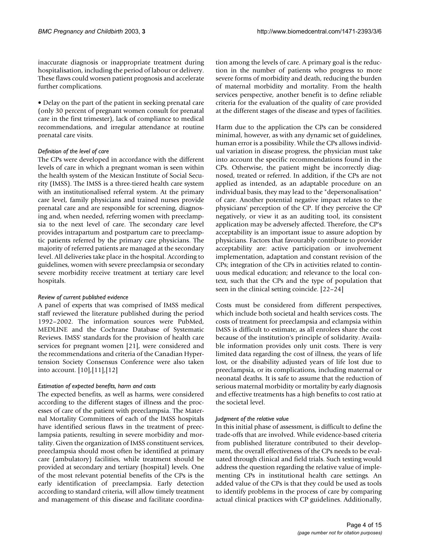inaccurate diagnosis or inappropriate treatment during hospitalisation, including the period of labour or delivery. These flaws could worsen patient prognosis and accelerate further complications.

• Delay on the part of the patient in seeking prenatal care (only 30 percent of pregnant women consult for prenatal care in the first trimester), lack of compliance to medical recommendations, and irregular attendance at routine prenatal care visits.

## *Definition of the level of care*

The CPs were developed in accordance with the different levels of care in which a pregnant woman is seen within the health system of the Mexican Institute of Social Security (IMSS). The IMSS is a three-tiered health care system with an institutionalised referral system. At the primary care level, family physicians and trained nurses provide prenatal care and are responsible for screening, diagnosing and, when needed, referring women with preeclampsia to the next level of care. The secondary care level provides intrapartum and postpartum care to preeclamptic patients referred by the primary care physicians. The majority of referred patients are managed at the secondary level. All deliveries take place in the hospital. According to guidelines, women with severe preeclampsia or secondary severe morbidity receive treatment at tertiary care level hospitals.

## *Review of current published evidence*

A panel of experts that was comprised of IMSS medical staff reviewed the literature published during the period 1992–2002. The information sources were PubMed, MEDLINE and the Cochrane Database of Systematic Reviews. IMSS' standards for the provision of health care services for pregnant women [21], were considered and the recommendations and criteria of the Canadian Hypertension Society Consensus Conference were also taken into account. [10],[11],[12]

## *Estimation of expected benefits, harm and costs*

The expected benefits, as well as harms, were considered according to the different stages of illness and the processes of care of the patient with preeclampsia. The Maternal Mortality Committees of each of the IMSS hospitals have identified serious flaws in the treatment of preeclampsia patients, resulting in severe morbidity and mortality. Given the organization of IMSS constituent services, preeclampsia should most often be identified at primary care (ambulatory) facilities, while treatment should be provided at secondary and tertiary (hospital) levels. One of the most relevant potential benefits of the CPs is the early identification of preeclampsia. Early detection according to standard criteria, will allow timely treatment and management of this disease and facilitate coordination among the levels of care. A primary goal is the reduction in the number of patients who progress to more severe forms of morbidity and death, reducing the burden of maternal morbidity and mortality. From the health services perspective, another benefit is to define reliable criteria for the evaluation of the quality of care provided at the different stages of the disease and types of facilities.

Harm due to the application the CPs can be considered minimal, however, as with any dynamic set of guidelines, human error is a possibility. While the CPs allows individual variation in disease progress, the physician must take into account the specific recommendations found in the CPs. Otherwise, the patient might be incorrectly diagnosed, treated or referred. In addition, if the CPs are not applied as intended, as an adaptable procedure on an individual basis, they may lead to the "depersonalisation" of care. Another potential negative impact relates to the physicians' perception of the CP. If they perceive the CP negatively, or view it as an auditing tool, its consistent application may be adversely affected. Therefore, the CP's acceptability is an important issue to assure adoption by physicians. Factors that favourably contribute to provider acceptability are: active participation or involvement implementation, adaptation and constant revision of the CPs; integration of the CPs in activities related to continuous medical education; and relevance to the local context, such that the CPs and the type of population that seen in the clinical setting coincide. [22–24]

Costs must be considered from different perspectives, which include both societal and health services costs. The costs of treatment for preeclampsia and eclampsia within IMSS is difficult to estimate, as all enrolees share the cost because of the institution's principle of solidarity. Available information provides only unit costs. There is very limited data regarding the cost of illness, the years of life lost, or the disability adjusted years of life lost due to preeclampsia, or its complications, including maternal or neonatal deaths. It is safe to assume that the reduction of serious maternal morbidity or mortality by early diagnosis and effective treatments has a high benefits to cost ratio at the societal level.

## *Judgment of the relative value*

In this initial phase of assessment, is difficult to define the trade-offs that are involved. While evidence-based criteria from published literature contributed to their development, the overall effectiveness of the CPs needs to be evaluated through clinical and field trials. Such testing would address the question regarding the relative value of implementing CPs in institutional health care settings. An added value of the CPs is that they could be used as tools to identify problems in the process of care by comparing actual clinical practices with CP guidelines. Additionally,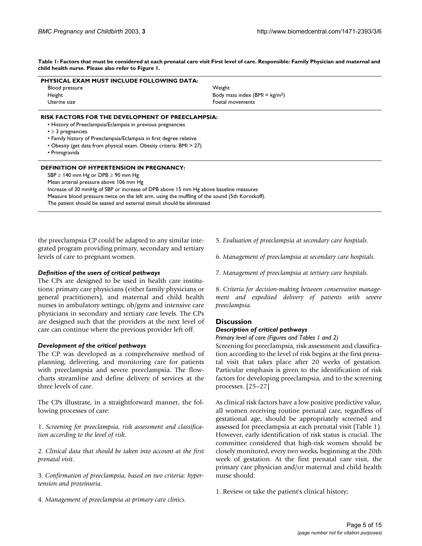<span id="page-4-0"></span>**Table 1: Factors that must be considered at each prenatal care visit First level of care. Responsible: Family Physician and maternal and child health nurse. Please also refer to Figure [1](#page-6-0).**

| <b>PHYSICAL EXAM MUST INCLUDE FOLLOWING DATA:</b> |                                  |
|---------------------------------------------------|----------------------------------|
| Blood pressure                                    | Weight                           |
| Height                                            | Body mass index (BMI = $kg/m2$ ) |
| Uterine size                                      | Foetal movements                 |

#### **RISK FACTORS FOR THE DEVELOPMENT OF PREECLAMPSIA:**

• History of Preeclampsia/Eclampsia in previous pregnancies

 $\cdot \geq 3$  pregnancies

• Family history of Preeclampsia/Eclampsia in first degree relative

• Obesity (get data from physical exam. Obesity criteria: BMI > 27)

• Primigravida

#### **DEFINITION OF HYPERTENSION IN PREGNANCY:**

 $SBP \geq 140$  mm Hg or DPB  $\geq 90$  mm Hg

Mean arterial pressure above 106 mm Hg

Increase of 30 mmHg of SBP or increase of DPB above 15 mm Hg above baseline measures Measure blood pressure twice on the left arm, using the muffling of the sound (5th Korotkoff).

The patient should be seated and external stimuli should be eliminated

the preeclampsia CP could be adapted to any similar integrated program providing primary, secondary and tertiary levels of care to pregnant women.

## *Definition of the users of critical pathways*

The CPs are designed to be used in health care institutions: primary care physicians (either family physicians or general practitioners), and maternal and child health nurses in ambulatory settings; ob/gyns and intensive care physicians in secondary and tertiary care levels. The CPs are designed such that the providers at the next level of care can continue where the previous provider left off.

## *Development of the critical pathways*

The CP was developed as a comprehensive method of planning, delivering, and monitoring care for patients with preeclampsia and severe preeclampsia. The flowcharts streamline and define delivery of services at the three levels of care.

The CPs illustrate, in a straightforward manner, the following processes of care:

1. *Screening for preeclampsia, risk assessment and classification according to the level of risk.*

2. *Clinical data that should be taken into account at the first prenatal visit*.

3. *Confirmation of preeclampsia, based on two criteria: hypertension and proteinuria.*

4. *Management of preeclampsia at primary care clinics.*

5. *Evaluation of preeclampsia at secondary care hospitals.*

6. *Management of preeclampsia at secondary care hospitals.*

7. *Management of preeclampsia at tertiary care hospitals.*

8. *Criteria for decision-making between conservative management and expedited delivery of patients with severe preeclampsia.*

## **Discussion**

# *Description of critical pathways*

#### *Primary level of care (Figures and Tables [1](#page-4-0) and [2\)](#page-5-0)*

Screening for preeclampsia, risk assessment and classification according to the level of risk begins at the first prenatal visit that takes place after 20 weeks of gestation. Particular emphasis is given to the identification of risk factors for developing preeclampsia, and to the screening processes. [25–27]

As clinical risk factors have a low positive predictive value, all women receiving routine prenatal care, regardless of gestational age, should be appropriately screened and assessed for preeclampsia at each prenatal visit (Table [1\)](#page-4-0). However, early identification of risk status is crucial. The committee considered that high-risk women should be closely monitored, every two weeks, beginning at the 20th week of gestation. At the first prenatal care visit, the primary care physician and/or maternal and child health nurse should:

1. Review or take the patient's clinical history;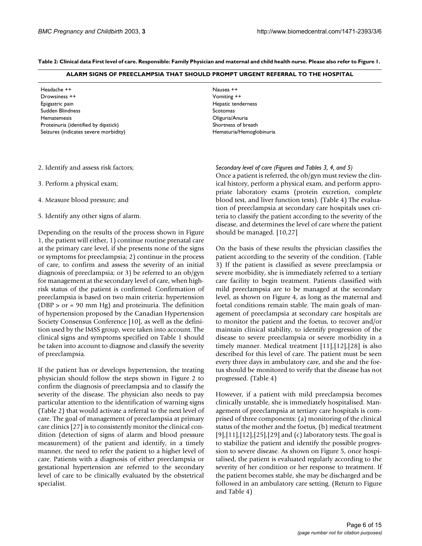<span id="page-5-0"></span>**Table 2: Clinical data First level of care. Responsible: Family Physician and maternal and child health nurse. Please also refer to Figure [1.](#page-6-0)**

| Headache ++                           | Nausea ++                |
|---------------------------------------|--------------------------|
| Drowsiness ++                         | Vomiting ++              |
| Epigastric pain                       | Hepatic tenderness       |
| Sudden Blindness                      | Scotomas                 |
| Hematemesis                           | Oliguria/Anuria          |
| Proteinuria (identified by dipstick)  | Shortness of breath      |
| Seizures (indicates severe morbidity) | Hematuria/Hemoglobinuria |
|                                       |                          |

#### **ALARM SIGNS OF PREECLAMPSIA THAT SHOULD PROMPT URGENT REFERRAL TO THE HOSPITAL**

2. Identify and assess risk factors;

3. Perform a physical exam;

- 4. Measure blood pressure; and
- 5. Identify any other signs of alarm.

Depending on the results of the process shown in Figure [1,](#page-6-0) the patient will either, 1) continue routine prenatal care at the primary care level, if she presents none of the signs or symptoms for preeclampsia; 2) continue in the process of care, to confirm and assess the severity of an initial diagnosis of preeclampsia; or 3) be referred to an ob/gyn for management at the secondary level of care, when highrisk status of the patient is confirmed. Confirmation of preeclampsia is based on two main criteria: hypertension  $(DBP > or = 90$  mm Hg) and proteinuria. The definition of hypertension proposed by the Canadian Hypertension Society Consensus Conference [10], as well as the definition used by the IMSS group, were taken into account. The clinical signs and symptoms specified on Table [1](#page-4-0) should be taken into account to diagnose and classify the severity of preeclampsia.

If the patient has or develops hypertension, the treating physician should follow the steps shown in Figure [2](#page-7-0) to confirm the diagnosis of preeclampsia and to classify the severity of the disease. The physician also needs to pay particular attention to the identification of warning signs (Table [2\)](#page-5-0) that would activate a referral to the next level of care. The goal of management of preeclampsia at primary care clinics [27] is to consistently monitor the clinical condition (detection of signs of alarm and blood pressure measurement) of the patient and identify, in a timely manner, the need to refer the patient to a higher level of care. Patients with a diagnosis of either preeclampsia or gestational hypertension are referred to the secondary level of care to be clinically evaluated by the obstetrical specialist.

*Secondary level of care (Figures and Tables [3](#page-8-0), [4,](#page-8-1) and [5](#page-9-0))*

Once a patient is referred, the ob/gyn must review the clinical history, perform a physical exam, and perform appropriate laboratory exams (protein excretion, complete blood test, and liver function tests). (Table [4\)](#page-8-1) The evaluation of preeclampsia at secondary care hospitals uses criteria to classify the patient according to the severity of the disease, and determines the level of care where the patient should be managed. [10,27]

On the basis of these results the physician classifies the patient according to the severity of the condition. (Table [3](#page-8-0)) If the patient is classified as severe preeclampsia or severe morbidity, she is immediately referred to a tertiary care facility to begin treatment. Patients classified with mild preeclampsia are to be managed at the secondary level, as shown on Figure [4,](#page-9-1) as long as the maternal and foetal conditions remain stable. The main goals of management of preeclampsia at secondary care hospitals are to monitor the patient and the foetus, to recover and/or maintain clinical stability, to identify progression of the disease to severe preeclampsia or severe morbidity in a timely manner. Medical treatment [11],[12],[28] is also described for this level of care. The patient must be seen every three days in ambulatory care, and she and the foetus should be monitored to verify that the disease has not progressed. (Table [4\)](#page-8-1)

However, if a patient with mild preeclampsia becomes clinically unstable, she is immediately hospitalised. Management of preeclampsia at tertiary care hospitals is comprised of three components: (a) monitoring of the clinical status of the mother and the foetus, (b) medical treatment  $[9]$ , $[11]$ , $[12]$ , $[25]$ , $[29]$  and (c) laboratory tests. The goal is to stabilize the patient and identify the possible progression to severe disease. As shown on Figure 5, once hospitalised, the patient is evaluated regularly according to the severity of her condition or her response to treatment. If the patient becomes stable, she may be discharged and be followed in an ambulatory care setting. (Return to Figure and Table [4](#page-8-1))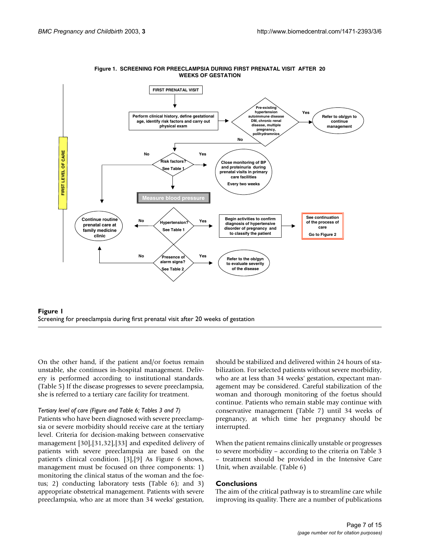<span id="page-6-0"></span>

**Figure 1. SCREENING FOR PREECLAMPSIA DURING FIRST PRENATAL VISIT AFTER 20 WEEKS OF GESTATION**



On the other hand, if the patient and/or foetus remain unstable, she continues in-hospital management. Delivery is performed according to institutional standards. (Table [5\)](#page-9-0) If the disease progresses to severe preeclampsia, she is referred to a tertiary care facility for treatment.

#### *Tertiary level of care (Figure and Table [6;](#page-12-0) Tables [3](#page-8-0) and [7](#page-12-1))*

Patients who have been diagnosed with severe preeclampsia or severe morbidity should receive care at the tertiary level. Criteria for decision-making between conservative management [30],[31,32],[33] and expedited delivery of patients with severe preeclampsia are based on the patient's clinical condition. [3],[9] As Figure [6](#page-11-0) shows, management must be focused on three components: 1) monitoring the clinical status of the woman and the foetus; 2) conducting laboratory tests (Table [6](#page-12-0)); and [3](#page-8-0)) appropriate obstetrical management. Patients with severe preeclampsia, who are at more than 34 weeks' gestation,

should be stabilized and delivered within 24 hours of stabilization. For selected patients without severe morbidity, who are at less than 34 weeks' gestation, expectant management may be considered. Careful stabilization of the woman and thorough monitoring of the foetus should continue. Patients who remain stable may continue with conservative management (Table [7](#page-12-1)) until 34 weeks of pregnancy, at which time her pregnancy should be interrupted.

When the patient remains clinically unstable or progresses to severe morbidity – according to the criteria on Table [3](#page-8-0) – treatment should be provided in the Intensive Care Unit, when available. (Table [6](#page-12-0))

#### **Conclusions**

The aim of the critical pathway is to streamline care while improving its quality. There are a number of publications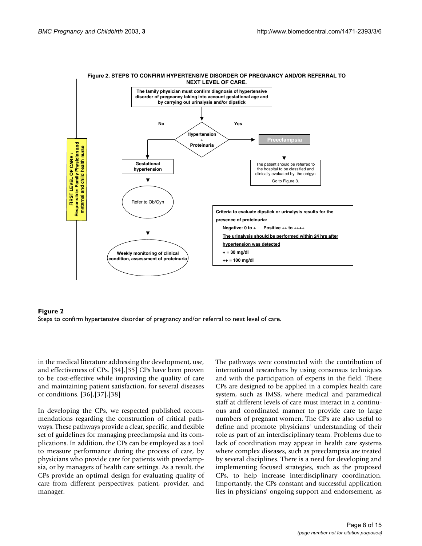<span id="page-7-0"></span>





in the medical literature addressing the development, use, and effectiveness of CPs. [34],[35] CPs have been proven to be cost-effective while improving the quality of care and maintaining patient satisfaction, for several diseases or conditions. [36],[37],[38]

In developing the CPs, we respected published recommendations regarding the construction of critical pathways. These pathways provide a clear, specific, and flexible set of guidelines for managing preeclampsia and its complications. In addition, the CPs can be employed as a tool to measure performance during the process of care, by physicians who provide care for patients with preeclampsia, or by managers of health care settings. As a result, the CPs provide an optimal design for evaluating quality of care from different perspectives: patient, provider, and manager.

The pathways were constructed with the contribution of international researchers by using consensus techniques and with the participation of experts in the field. These CPs are designed to be applied in a complex health care system, such as IMSS, where medical and paramedical staff at different levels of care must interact in a continuous and coordinated manner to provide care to large numbers of pregnant women. The CPs are also useful to define and promote physicians' understanding of their role as part of an interdisciplinary team. Problems due to lack of coordination may appear in health care systems where complex diseases, such as preeclampsia are treated by several disciplines. There is a need for developing and implementing focused strategies, such as the proposed CPs, to help increase interdisciplinary coordination. Importantly, the CPs constant and successful application lies in physicians' ongoing support and endorsement, as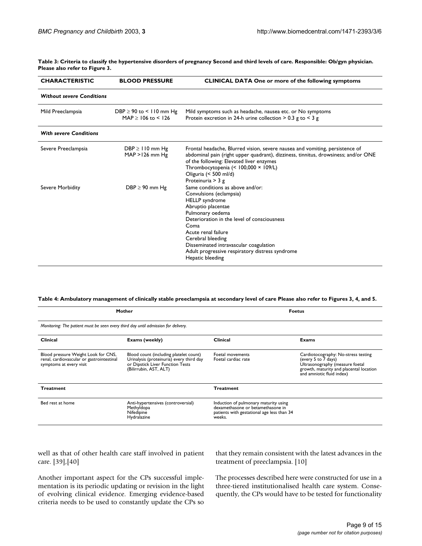<span id="page-8-0"></span>**Table 3: Criteria to classify the hypertensive disorders of pregnancy Second and third levels of care. Responsible: Ob/gyn physician. Please also refer to Figure 3.**

| <b>CHARACTERISTIC</b>            | <b>BLOOD PRESSURE</b>                                  | <b>CLINICAL DATA One or more of the following symptoms</b>                                                                                                                                                                                                                                                                                         |
|----------------------------------|--------------------------------------------------------|----------------------------------------------------------------------------------------------------------------------------------------------------------------------------------------------------------------------------------------------------------------------------------------------------------------------------------------------------|
| <b>Without severe Conditions</b> |                                                        |                                                                                                                                                                                                                                                                                                                                                    |
| Mild Preeclampsia                | DBP $\geq$ 90 to < 110 mm Hg<br>$MAP \ge 106$ to < 126 | Mild symptoms such as headache, nausea etc. or No symptoms<br>Protein excretion in 24-h urine collection $> 0.3$ g to $< 3$ g                                                                                                                                                                                                                      |
| <b>With severe Conditions</b>    |                                                        |                                                                                                                                                                                                                                                                                                                                                    |
| Severe Preeclampsia              | $DBP \geq 110$ mm Hg<br>$MAP > 126$ mm Hg              | Frontal headache, Blurred vision, severe nausea and vomiting, persistence of<br>abdominal pain (right upper quadrant), dizziness, tinnitus, drowsiness; and/or ONE<br>of the following: Elevated liver enzymes<br>Thrombocytopenia $(< 100,000 \times 109/L)$<br>Oliguria (< 500 ml/d)<br>Proteinuria $>$ 3 g                                      |
| <b>Severe Morbidity</b>          | DBP $\geq$ 90 mm Hg                                    | Same conditions as above and/or:<br>Convulsions (eclampsia)<br><b>HELLP</b> syndrome<br>Abruptio placentae<br>Pulmonary oedema<br>Deterioration in the level of consciousness<br>Coma<br>Acute renal failure<br>Cerebral bleeding<br>Disseminated intravascular coagulation<br>Adult progressive respiratory distress syndrome<br>Hepatic bleeding |

#### <span id="page-8-1"></span>Table 4: Ambulatory management of clinically stable preeclampsia at secondary level of care Please also refer to Figures 3, [4,](#page-9-1) and 5.

| Mother                                                                                                      |                                                                                                                                                  | <b>Foetus</b>                                                                                                                      |                                                                                                                                                                       |
|-------------------------------------------------------------------------------------------------------------|--------------------------------------------------------------------------------------------------------------------------------------------------|------------------------------------------------------------------------------------------------------------------------------------|-----------------------------------------------------------------------------------------------------------------------------------------------------------------------|
| Monitoring: The patient must be seen every third day until admission for delivery.                          |                                                                                                                                                  |                                                                                                                                    |                                                                                                                                                                       |
| Clinical                                                                                                    | Exams (weekly)                                                                                                                                   | <b>Clinical</b>                                                                                                                    | Exams                                                                                                                                                                 |
| Blood pressure Weight Look for CNS,<br>renal, cardiovascular or gastrointestinal<br>symptoms at every visit | Blood count (including platelet count)<br>Urinalysis (proteinuria) every third day<br>or Dipstick Liver Function Tests<br>(Bilirrubin, AST, ALT) | Foetal movements<br>Foetal cardiac rate                                                                                            | Cardiotocography: No-stress testing<br>(every 5 to 7 days)<br>Ultrasonography (measure foetal<br>growth, maturity and placental location<br>and amniotic fluid index) |
| Treatment                                                                                                   |                                                                                                                                                  | <b>Treatment</b>                                                                                                                   |                                                                                                                                                                       |
| Bed rest at home                                                                                            | Anti-hypertensives (controversial)<br>Methyldopa<br>Nifedipine<br>Hydralazine                                                                    | Induction of pulmonary maturity using<br>dexamethasone or betamethasone in<br>patients with gestational age less than 34<br>weeks. |                                                                                                                                                                       |

well as that of other health care staff involved in patient care. [39],[40]

Another important aspect for the CPs successful implementation is its periodic updating or revision in the light of evolving clinical evidence. Emerging evidence-based criteria needs to be used to constantly update the CPs so that they remain consistent with the latest advances in the treatment of preeclampsia. [10]

The processes described here were constructed for use in a three-tiered institutionalised health care system. Consequently, the CPs would have to be tested for functionality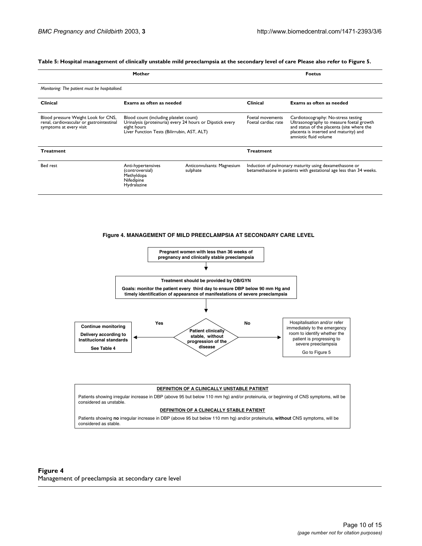#### <span id="page-9-0"></span>**Table 5: Hospital management of clinically unstable mild preeclampsia at the secondary level of care Please also refer to Figure 5.**

| Mother                                                                                                      |                                                                                                                                                                   | <b>Foetus</b>                                                                                                                                                          |                                         |                                                                                                                                                                                                  |
|-------------------------------------------------------------------------------------------------------------|-------------------------------------------------------------------------------------------------------------------------------------------------------------------|------------------------------------------------------------------------------------------------------------------------------------------------------------------------|-----------------------------------------|--------------------------------------------------------------------------------------------------------------------------------------------------------------------------------------------------|
| Monitoring: The patient must be hospitalised.                                                               |                                                                                                                                                                   |                                                                                                                                                                        |                                         |                                                                                                                                                                                                  |
| Clinical                                                                                                    | Exams as often as needed                                                                                                                                          |                                                                                                                                                                        | Clinical                                | Exams as often as needed                                                                                                                                                                         |
| Blood pressure Weight Look for CNS,<br>renal, cardiovascular or gastrointestinal<br>symptoms at every visit | Blood count (including platelet count)<br>Urinalysis (proteinuria) every 24 hours or Dipstick every<br>eight hours<br>Liver Function Tests (Bilirrubin, AST, ALT) |                                                                                                                                                                        | Foetal movements<br>Foetal cardiac rate | Cardiotocography: No-stress testing<br>Ultrasonography to measure foetal growth<br>and status of the placenta (site where the<br>placenta is inserted and maturity) and<br>amniotic fluid volume |
| Treatment                                                                                                   |                                                                                                                                                                   |                                                                                                                                                                        | <b>Treatment</b>                        |                                                                                                                                                                                                  |
| Bed rest                                                                                                    | Anti-hypertensives<br>(controversial)<br>Methyldopa<br>Nifedipine<br>Hydralazine                                                                                  | Anticonvulsants: Magnesium<br>Induction of pulmonary maturity using dexamethasone or<br>betamethasone in patients with gestational age less than 34 weeks.<br>sulphate |                                         |                                                                                                                                                                                                  |

#### **Figure 4. MANAGEMENT OF MILD PREECLAMPSIA AT SECONDARY CARE LEVEL**

<span id="page-9-1"></span>

#### **DEFINITION OF A CLINICALLY UNSTABLE PATIENT**

Patients showing irregular increase in DBP (above 95 but below 110 mm hg) and/or proteinuria, or beginning of CNS symptoms, will be considered as unstable.

#### **DEFINITION OF A CLINICALLY STABLE PATIENT**

Patients showing **no** irregular increase in DBP (above 95 but below 110 mm hg) and/or proteinuria, **without** CNS symptoms, will be considered as stable.

#### Figure 4 Management of preeclampsia at secondary care level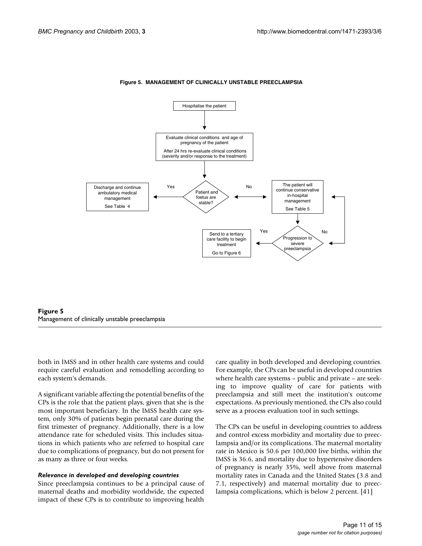

#### **Figure 5. MANAGEMENT OF CLINICALLY UNSTABLE PREECLAMPSIA**



both in IMSS and in other health care systems and could require careful evaluation and remodelling according to each system's demands.

A significant variable affecting the potential benefits of the CPs is the role that the patient plays, given that she is the most important beneficiary. In the IMSS health care system, only 30% of patients begin prenatal care during the first trimester of pregnancy. Additionally, there is a low attendance rate for scheduled visits. This includes situations in which patients who are referred to hospital care due to complications of pregnancy, but do not present for as many as three or four weeks.

#### *Relevance in developed and developing countries*

Since preeclampsia continues to be a principal cause of maternal deaths and morbidity worldwide, the expected impact of these CPs is to contribute to improving health

care quality in both developed and developing countries. For example, the CPs can be useful in developed countries where health care systems – public and private – are seeking to improve quality of care for patients with preeclampsia and still meet the institution's outcome expectations. As previously mentioned, the CPs also could serve as a process evaluation tool in such settings.

The CPs can be useful in developing countries to address and control excess morbidity and mortality due to preeclampsia and/or its complications. The maternal mortality rate in Mexico is 50.6 per 100,000 live births, within the IMSS is 36.6, and mortality due to hypertensive disorders of pregnancy is nearly 35%, well above from maternal mortality rates in Canada and the United States (3.8 and 7.1, respectively) and maternal mortality due to preeclampsia complications, which is below 2 percent. [41]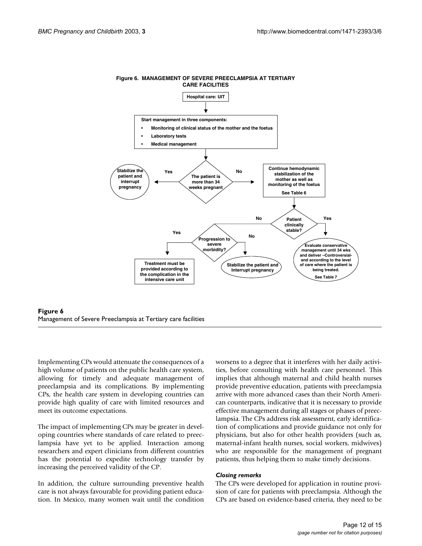<span id="page-11-0"></span>

#### **Figure 6. MANAGEMENT OF SEVERE PREECLAMPSIA AT TERTIARY CARE FACILITIES**



Implementing CPs would attenuate the consequences of a high volume of patients on the public health care system, allowing for timely and adequate management of preeclampsia and its complications. By implementing CPs, the health care system in developing countries can provide high quality of care with limited resources and meet its outcome expectations.

The impact of implementing CPs may be greater in developing countries where standards of care related to preeclampsia have yet to be applied. Interaction among researchers and expert clinicians from different countries has the potential to expedite technology transfer by increasing the perceived validity of the CP.

In addition, the culture surrounding preventive health care is not always favourable for providing patient education. In Mexico, many women wait until the condition

worsens to a degree that it interferes with her daily activities, before consulting with health care personnel. This implies that although maternal and child health nurses provide preventive education, patients with preeclampsia arrive with more advanced cases than their North American counterparts, indicative that it is necessary to provide effective management during all stages or phases of preeclampsia. The CPs address risk assessment, early identification of complications and provide guidance not only for physicians, but also for other health providers (such as, maternal-infant health nurses, social workers, midwives) who are responsible for the management of pregnant patients, thus helping them to make timely decisions.

## *Closing remarks*

The CPs were developed for application in routine provision of care for patients with preeclampsia. Although the CPs are based on evidence-based criteria, they need to be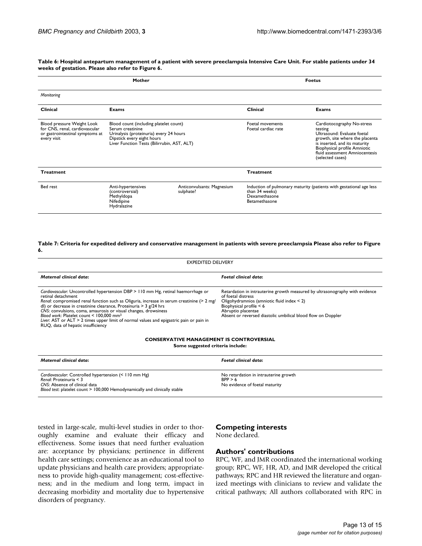<span id="page-12-0"></span>**Table 6: Hospital antepartum management of a patient with severe preeclampsia Intensive Care Unit. For stable patients under 34 weeks of gestation. Please also refer to Figure [6.](#page-11-0)**

| Mother                                                                                                         |                                                                                                                                                                                    | <b>Foetus</b>                           |                                                  |                                                                                                                                                                                                                                |
|----------------------------------------------------------------------------------------------------------------|------------------------------------------------------------------------------------------------------------------------------------------------------------------------------------|-----------------------------------------|--------------------------------------------------|--------------------------------------------------------------------------------------------------------------------------------------------------------------------------------------------------------------------------------|
| Monitoring                                                                                                     |                                                                                                                                                                                    |                                         |                                                  |                                                                                                                                                                                                                                |
| Clinical                                                                                                       | <b>Exams</b>                                                                                                                                                                       |                                         | Clinical                                         | Exams                                                                                                                                                                                                                          |
| Blood pressure Weight Look<br>for CNS, renal, cardiovascular<br>or gastrointestinal symptoms at<br>every visit | Blood count (including platelet count)<br>Serum creatinine<br>Urinalysis (proteinuria) every 24 hours<br>Dipstick every eight hours<br>Liver Function Tests (Bilirrubin, AST, ALT) |                                         | Foetal movements<br>Foetal cardiac rate          | Cardiotocography No-stress<br>testing<br>Ultrasound: Evaluate foetal<br>growth, site where the placenta<br>is inserted, and its maturity<br>Biophysical profile Amniotic<br>fluid assessment Amniocentesis<br>(selected cases) |
| Treatment                                                                                                      |                                                                                                                                                                                    |                                         | <b>Treatment</b>                                 |                                                                                                                                                                                                                                |
| Bed rest                                                                                                       | Anti-hypertensives<br>(controversial)<br>Methyldopa<br>Nifedipine<br>Hydralazine                                                                                                   | Anticonvulsants: Magnesium<br>sulphate? | than 34 weeks)<br>Dexamethasone<br>Betamethasone | Induction of pulmonary maturity (patients with gestational age less                                                                                                                                                            |

#### <span id="page-12-1"></span>**Table 7: Criteria for expedited delivery and conservative management in patients with severe preeclampsia Please also refer to Figure [6.](#page-11-0)**

| <b>EXPEDITED DELIVERY</b>                                                                                                                                                                                                                                                                                                                                                                                                                                                                                                               |                                                                                                                                                                                                                                                                   |  |  |  |
|-----------------------------------------------------------------------------------------------------------------------------------------------------------------------------------------------------------------------------------------------------------------------------------------------------------------------------------------------------------------------------------------------------------------------------------------------------------------------------------------------------------------------------------------|-------------------------------------------------------------------------------------------------------------------------------------------------------------------------------------------------------------------------------------------------------------------|--|--|--|
| Maternal clinical data:                                                                                                                                                                                                                                                                                                                                                                                                                                                                                                                 | <b>Foetal clinical data:</b>                                                                                                                                                                                                                                      |  |  |  |
| Cardiovascular: Uncontrolled hypertension DBP > 110 mm Hg, retinal haemorrhage or<br>retinal detachment<br>Renal: compromised renal function such as Oliguria, increase in serum creatinine (> 2 mg/<br>dl) or decrease in creatinine clearance, Proteinuria > $3$ g/24 hrs<br>CNS: convulsions, coma, amaurosis or visual changes, drowsiness<br>Blood work: Platelet count < 100,000 mm <sup>3</sup><br>Liver: AST or ALT > 2 times upper limit of normal values and epigastric pain or pain in<br>RUQ, data of hepatic insufficiency | Retardation in intrauterine growth measured by ultrasonography with evidence<br>of foetal distress<br>Oligohydramnios (amniotic fluid index < 2)<br>Biophysical profile < 6<br>Abruptio placentae<br>Absent or reversed diastolic umbilical blood flow on Doppler |  |  |  |
| <b>CONSERVATIVE MANAGEMENT IS CONTROVERSIAL</b><br>Some suggested criteria include:                                                                                                                                                                                                                                                                                                                                                                                                                                                     |                                                                                                                                                                                                                                                                   |  |  |  |
| Maternal clinical data:                                                                                                                                                                                                                                                                                                                                                                                                                                                                                                                 | <b>Foetal clinical data:</b>                                                                                                                                                                                                                                      |  |  |  |

*Cardiovascular*: Controlled hypertension (< 110 mm Hg) *Renal*: Proteinuria < 3 *CNS*: Absence of clinical data

*Blood test*: platelet count > 100,000 Hemodynamically and clinically stable

tested in large-scale, multi-level studies in order to thor-

**Competing interests**

No retardation in intrauterine growth

No evidence of foetal maturity

None declared.

 $BPP > 6$ 

## **Authors' contributions**

RPC, WF, and JMR coordinated the international working group; RPC, WF, HR, AD, and JMR developed the critical pathways; RPC and HR reviewed the literature and organized meetings with clinicians to review and validate the critical pathways; All authors collaborated with RPC in

oughly examine and evaluate their efficacy and effectiveness. Some issues that need further evaluation are: acceptance by physicians; pertinence in different health care settings; convenience as an educational tool to update physicians and health care providers; appropriateness to provide high-quality management; cost-effectiveness; and in the medium and long term, impact in decreasing morbidity and mortality due to hypertensive disorders of pregnancy.

#### Page 13 of 15 *(page number not for citation purposes)*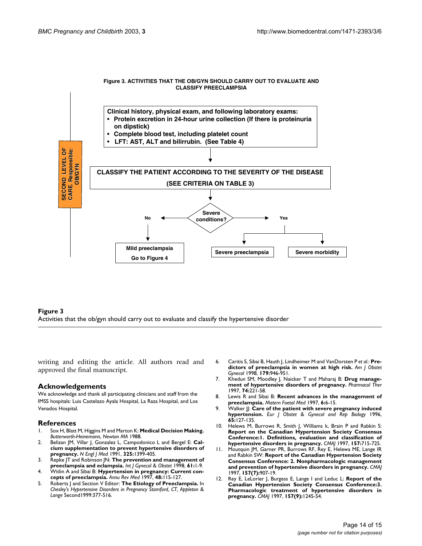

# **Figure 3. ACTIVITIES THAT THE OB/GYN SHOULD CARRY OUT TO EVALUATE AND**

#### Activities that the ob/gyn should carry out to **Figure 3** evaluate and classify the hypertensive disorder

Activities that the ob/gyn should carry out to evaluate and classify the hypertensive disorder

writing and editing the article. All authors read and approved the final manuscript.

#### **Acknowledgements**

We acknowledge and thank all participating clinicians and staff from the IMSS hospitals: Luis Castelazo Ayala Hospital, La Raza Hospital, and Los Venados Hospital.

#### **References**

- 1. Sox H, Blatt M, Higgins M and Marton K: **Medical Decision Making.** *Butterworth-Heinemann, Newton MA* 1988.
- Belizan |M, Villar |, Gonzalez L, Campodonico L and Bergel E: [Cal](http://www.ncbi.nlm.nih.gov/entrez/query.fcgi?cmd=Retrieve&db=PubMed&dopt=Abstract&list_uids=1922250)**[cium supplementation to prevent hypertensive disorders of](http://www.ncbi.nlm.nih.gov/entrez/query.fcgi?cmd=Retrieve&db=PubMed&dopt=Abstract&list_uids=1922250) [pregnancy.](http://www.ncbi.nlm.nih.gov/entrez/query.fcgi?cmd=Retrieve&db=PubMed&dopt=Abstract&list_uids=1922250)** *N Engl J Med* 1991, **325:**1399-405.
- 3. Repke JT and Robinson JN: **The prevention and management of preeclampsia and eclampsia.** *Int J Gynecol & Obstet* 1998, **61:**1-9.
- 4. Witlin A and Sibai B: **[Hypertension in pregnancy: Current con](http://www.ncbi.nlm.nih.gov/entrez/query.fcgi?cmd=Retrieve&db=PubMed&dopt=Abstract&list_uids=9046950)[cepts of preeclampsia.](http://www.ncbi.nlm.nih.gov/entrez/query.fcgi?cmd=Retrieve&db=PubMed&dopt=Abstract&list_uids=9046950)** *Annu Rev Med* 1997, **48:**115-127.
- 5. Roberts J and Section V Editor: **The Etiology of Preeclampsia.** In *Chesley's Hypertensive Disorders in Pregnancy Stamford, CT, Appleton & Lange* Second1999:377-516.
- 6. Caritis S, Sibai B, Hauth J, Lindheimer M and VanDorsten P *et al.*: **[Pre](http://www.ncbi.nlm.nih.gov/entrez/query.fcgi?cmd=Retrieve&db=PubMed&dopt=Abstract&list_uids=9790376)[dictors of preeclampsia in women at high risk.](http://www.ncbi.nlm.nih.gov/entrez/query.fcgi?cmd=Retrieve&db=PubMed&dopt=Abstract&list_uids=9790376)** *Am J Obstet Gynecol* 1998, **179:**946-951.
- 7. Khedun SM, Moodley J, Naicker T and Maharaj B: **[Drug manage](http://www.ncbi.nlm.nih.gov/entrez/query.fcgi?cmd=Retrieve&db=PubMed&dopt=Abstract&list_uids=9336024)[ment of hypertensive disorders of pregnancy.](http://www.ncbi.nlm.nih.gov/entrez/query.fcgi?cmd=Retrieve&db=PubMed&dopt=Abstract&list_uids=9336024)** *Pharmacol Ther* 1997, **74:**221-58.
- 8. Lewis R and Sibai B: **Recent advances in the management of preeclampsia.** *Matern Foetal Med* 1997, **6:**6-15.
- 9. Walker JJ: **Care of the patient with severe pregnancy induced hypertension.** *Eur J Obstet & Gynecol and Rep Biology* 1996, **65:**127-135.
- 10. Helewa M, Burrows R, Smith J, Williams k, Brain P and Rabkin S: **[Report on the Canadian Hypertension Society Consensus](http://www.ncbi.nlm.nih.gov/entrez/query.fcgi?cmd=Retrieve&db=PubMed&dopt=Abstract&list_uids=9307560) Conference:1. Definitions, evaluation and classification of [hypertensive disorders in pregnancy.](http://www.ncbi.nlm.nih.gov/entrez/query.fcgi?cmd=Retrieve&db=PubMed&dopt=Abstract&list_uids=9307560)** *CMAJ* 1997, **157:**715-725.
- 11. Moutquin JM, Garner PR, Burrows RF, Rey E, Helewa ME, Lange IR and Rabkin SW: **[Report of the Canadian Hypertension Society](http://www.ncbi.nlm.nih.gov/entrez/query.fcgi?cmd=Retrieve&db=PubMed&dopt=Abstract&list_uids=9327800) [Consensus Conference: 2. Nonpharmacologic management](http://www.ncbi.nlm.nih.gov/entrez/query.fcgi?cmd=Retrieve&db=PubMed&dopt=Abstract&list_uids=9327800) [and prevention of hypertensive disorders in pregnancy.](http://www.ncbi.nlm.nih.gov/entrez/query.fcgi?cmd=Retrieve&db=PubMed&dopt=Abstract&list_uids=9327800)** *CMAJ* 1997, **157(7):**907-19.
- 12. Rey E, LeLorier J, Burgess E, Lange I and Leduc L: **[Report of the](http://www.ncbi.nlm.nih.gov/entrez/query.fcgi?cmd=Retrieve&db=PubMed&dopt=Abstract&list_uids=9361646) [Canadian Hypertension Society Consensus Conference:3.](http://www.ncbi.nlm.nih.gov/entrez/query.fcgi?cmd=Retrieve&db=PubMed&dopt=Abstract&list_uids=9361646) Pharmacologic treatment of hypertensive disorders in [pregnancy.](http://www.ncbi.nlm.nih.gov/entrez/query.fcgi?cmd=Retrieve&db=PubMed&dopt=Abstract&list_uids=9361646)** *CMAJ* 1997, **157(9):**1245-54.